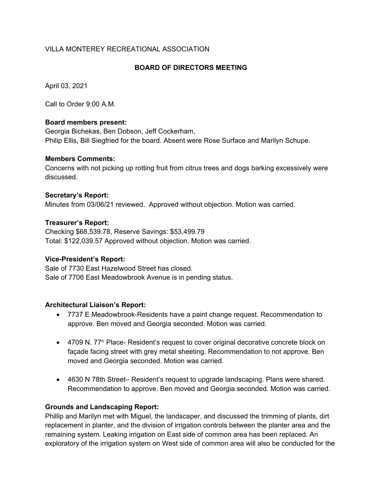# VILLA MONTEREY RECREATIONAL ASSOCIATION

### **BOARD OF DIRECTORS MEETING**

April 03, 2021

Call to Order 9:00 A.M.

### **Board members present:**

Georgia Bichekas, Ben Dobson, Jeff Cockerham, Philip Ellis, Bill Siegfried for the board. Absent were Rose Surface and Marilyn Schupe.

#### **Members Comments:**

Concerns with not picking up rotting fruit from citrus trees and dogs barking excessively were discussed.

### **Secretary's Report:**

Minutes from 03/06/21 reviewed. Approved without objection. Motion was carried.

### **Treasurer's Report:**

Checking \$68,539.78, Reserve Savings: \$53,499.79 Total: \$122,039.57 Approved without objection. Motion was carried.

### **Vice-President's Report:**

Sale of 7730 East Hazelwood Street has closed. Sale of 7706 East Meadowbrook Avenue is in pending status.

### **Architectural Liaison's Report:**

- 7737 E Meadowbrook-Residents have a paint change request. Recommendation to approve. Ben moved and Georgia seconded. Motion was carried.
- 4709 N. 77<sup>th</sup> Place- Resident's request to cover original decorative concrete block on façade facing street with grey metal sheeting. Recommendation to not approve. Ben moved and Georgia seconded. Motion was carried.
- 4630 N 78th Street– Resident's request to upgrade landscaping. Plans were shared. Recommendation to approve. Ben moved and Georgia seconded. Motion was carried.

### **Grounds and Landscaping Report:**

Phillip and Marilyn met with Miguel, the landscaper, and discussed the trimming of plants, dirt replacement in planter, and the division of irrigation controls between the planter area and the remaining system. Leaking irrigation on East side of common area has been replaced. An exploratory of the irrigation system on West side of common area will also be conducted for the